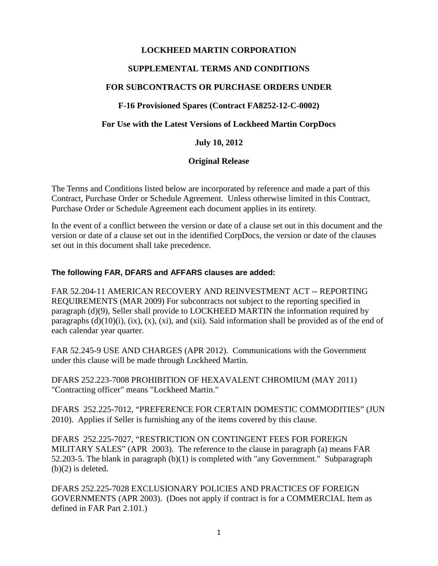## **LOCKHEED MARTIN CORPORATION**

# **SUPPLEMENTAL TERMS AND CONDITIONS**

# **FOR SUBCONTRACTS OR PURCHASE ORDERS UNDER**

#### **F-16 Provisioned Spares (Contract FA8252-12-C-0002)**

#### **For Use with the Latest Versions of Lockheed Martin CorpDocs**

#### **July 10, 2012**

#### **Original Release**

The Terms and Conditions listed below are incorporated by reference and made a part of this Contract, Purchase Order or Schedule Agreement. Unless otherwise limited in this Contract, Purchase Order or Schedule Agreement each document applies in its entirety.

In the event of a conflict between the version or date of a clause set out in this document and the version or date of a clause set out in the identified CorpDocs, the version or date of the clauses set out in this document shall take precedence.

#### **The following FAR, DFARS and AFFARS clauses are added:**

FAR 52.204-11 AMERICAN RECOVERY AND REINVESTMENT ACT -- REPORTING REQUIREMENTS (MAR 2009) For subcontracts not subject to the reporting specified in paragraph (d)(9), Seller shall provide to LOCKHEED MARTIN the information required by paragraphs  $(d)(10)(i)$ ,  $(ix)$ ,  $(x)$ ,  $(xi)$ , and  $(xii)$ . Said information shall be provided as of the end of each calendar year quarter.

FAR 52.245-9 USE AND CHARGES (APR 2012). Communications with the Government under this clause will be made through Lockheed Martin.

DFARS 252.223-7008 PROHIBITION OF HEXAVALENT CHROMIUM (MAY 2011) "Contracting officer" means "Lockheed Martin."

DFARS 252.225-7012, "PREFERENCE FOR CERTAIN DOMESTIC COMMODITIES" (JUN 2010). Applies if Seller is furnishing any of the items covered by this clause.

DFARS 252.225-7027, "RESTRICTION ON CONTINGENT FEES FOR FOREIGN MILITARY SALES" (APR 2003). The reference to the clause in paragraph (a) means FAR 52.203-5. The blank in paragraph (b)(1) is completed with "any Government." Subparagraph (b)(2) is deleted.

DFARS 252.225-7028 EXCLUSIONARY POLICIES AND PRACTICES OF FOREIGN GOVERNMENTS (APR 2003). (Does not apply if contract is for a COMMERCIAL Item as defined in FAR Part 2.101.)